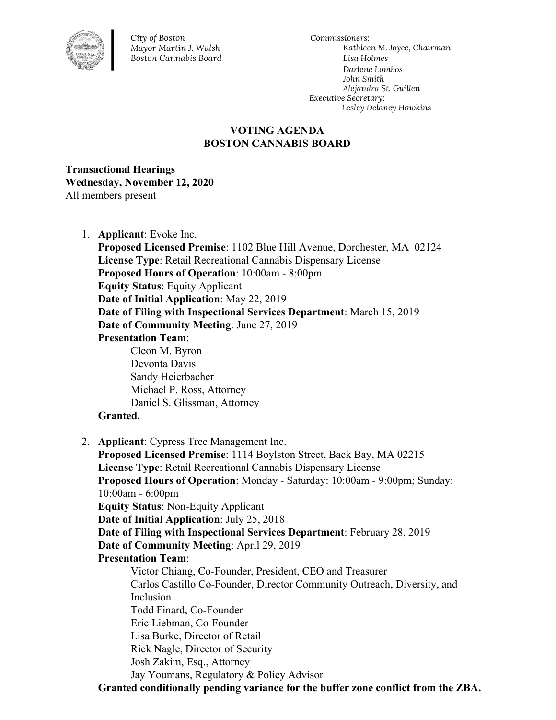

*City of Boston Mayor Martin J. Walsh Boston Cannabis Board*

*Commissioners: Kathleen M. Joyce, Chairman Lisa Holmes Darlene Lombos John Smith Alejandra St. Guillen Executive Secretary: Lesley Delaney Hawkins*

## **VOTING AGENDA BOSTON CANNABIS BOARD**

**Transactional Hearings Wednesday, November 12, 2020** All members present

1. **Applicant**: Evoke Inc.

**Proposed Licensed Premise**: 1102 Blue Hill Avenue, Dorchester, MA 02124 **License Type**: Retail Recreational Cannabis Dispensary License **Proposed Hours of Operation**: 10:00am - 8:00pm **Equity Status**: Equity Applicant **Date of Initial Application**: May 22, 2019 **Date of Filing with Inspectional Services Department**: March 15, 2019 **Date of Community Meeting**: June 27, 2019 **Presentation Team**: Cleon M. Byron Devonta Davis Sandy Heierbacher Michael P. Ross, Attorney Daniel S. Glissman, Attorney **Granted.** 2. **Applicant**: Cypress Tree Management Inc. **Proposed Licensed Premise**: 1114 Boylston Street, Back Bay, MA 02215 **License Type**: Retail Recreational Cannabis Dispensary License **Proposed Hours of Operation**: Monday - Saturday: 10:00am - 9:00pm; Sunday:

10:00am - 6:00pm

**Equity Status**: Non-Equity Applicant

**Date of Initial Application**: July 25, 2018

**Date of Filing with Inspectional Services Department**: February 28, 2019 **Date of Community Meeting**: April 29, 2019

**Presentation Team**:

Victor Chiang, Co-Founder, President, CEO and Treasurer Carlos Castillo Co-Founder, Director Community Outreach, Diversity, and Inclusion Todd Finard, Co-Founder Eric Liebman, Co-Founder Lisa Burke, Director of Retail Rick Nagle, Director of Security Josh Zakim, Esq., Attorney Jay Youmans, Regulatory & Policy Advisor

**Granted conditionally pending variance for the buffer zone conflict from the ZBA.**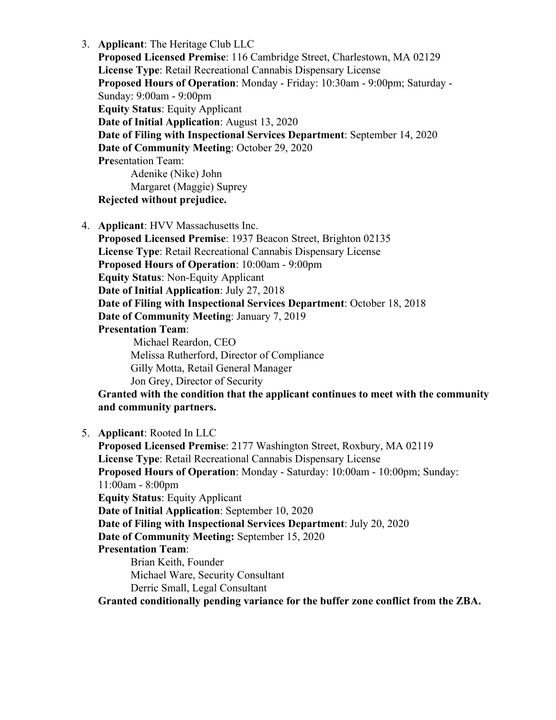3. **Applicant**: The Heritage Club LLC **Proposed Licensed Premise**: 116 Cambridge Street, Charlestown, MA 02129 **License Type**: Retail Recreational Cannabis Dispensary License **Proposed Hours of Operation**: Monday - Friday: 10:30am - 9:00pm; Saturday - Sunday: 9:00am - 9:00pm **Equity Status**: Equity Applicant **Date of Initial Application**: August 13, 2020 **Date of Filing with Inspectional Services Department**: September 14, 2020 **Date of Community Meeting**: October 29, 2020 **Pre**sentation Team: Adenike (Nike) John Margaret (Maggie) Suprey **Rejected without prejudice.**

4. **Applicant**: HVV Massachusetts Inc.

**Proposed Licensed Premise**: 1937 Beacon Street, Brighton 02135 **License Type**: Retail Recreational Cannabis Dispensary License **Proposed Hours of Operation**: 10:00am - 9:00pm **Equity Status**: Non-Equity Applicant **Date of Initial Application**: July 27, 2018 **Date of Filing with Inspectional Services Department**: October 18, 2018 **Date of Community Meeting**: January 7, 2019 **Presentation Team**: Michael Reardon, CEO

Melissa Rutherford, Director of Compliance Gilly Motta, Retail General Manager Jon Grey, Director of Security

**Granted with the condition that the applicant continues to meet with the community and community partners.**

5. **Applicant**: Rooted In LLC **Proposed Licensed Premise**: 2177 Washington Street, Roxbury, MA 02119 **License Type**: Retail Recreational Cannabis Dispensary License **Proposed Hours of Operation**: Monday - Saturday: 10:00am - 10:00pm; Sunday: 11:00am - 8:00pm **Equity Status**: Equity Applicant **Date of Initial Application**: September 10, 2020 **Date of Filing with Inspectional Services Department**: July 20, 2020 **Date of Community Meeting:** September 15, 2020 **Presentation Team**: Brian Keith, Founder Michael Ware, Security Consultant Derric Small, Legal Consultant **Granted conditionally pending variance for the buffer zone conflict from the ZBA.**